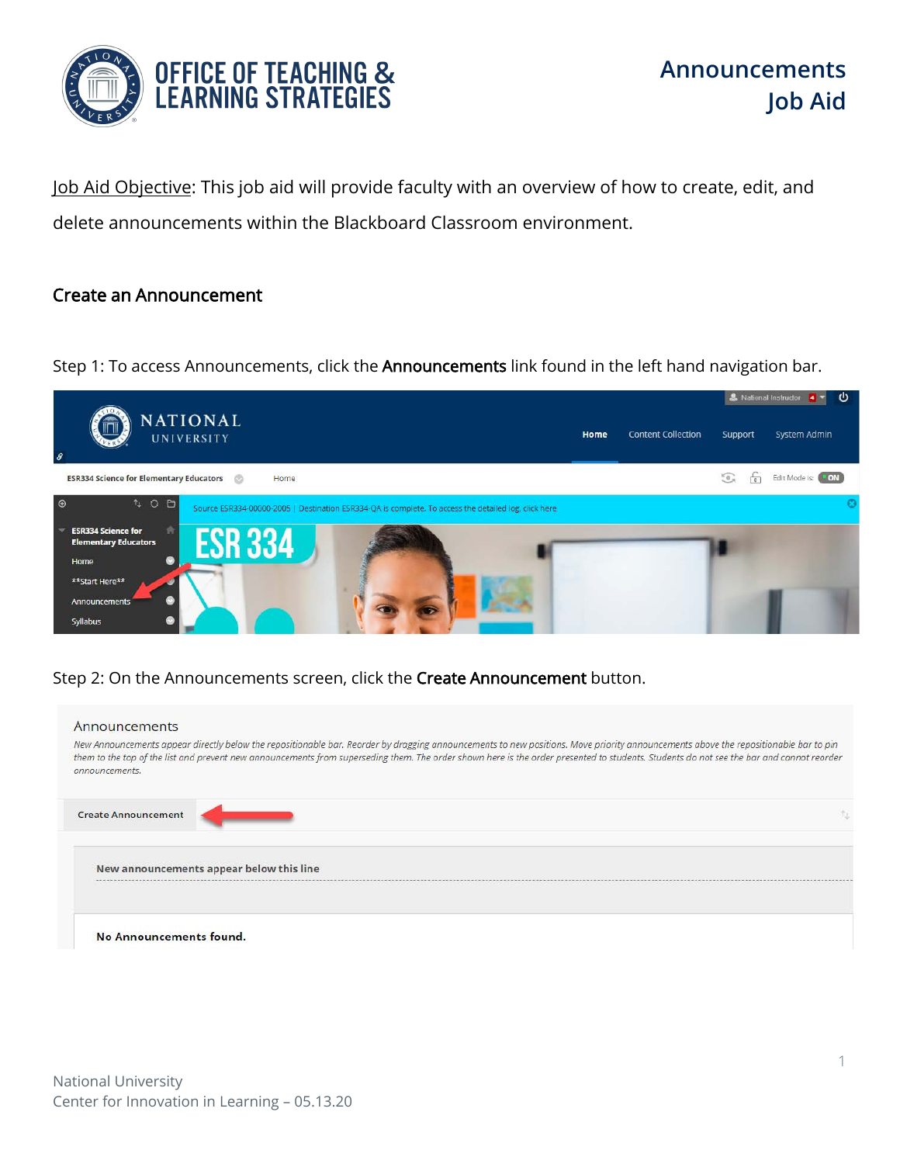

Job Aid Objective: This job aid will provide faculty with an overview of how to create, edit, and delete announcements within the Blackboard Classroom environment.

## Create an Announcement

Step 1: To access Announcements, click the **Announcements** link found in the left hand navigation bar.



Step 2: On the Announcements screen, click the Create Announcement button.

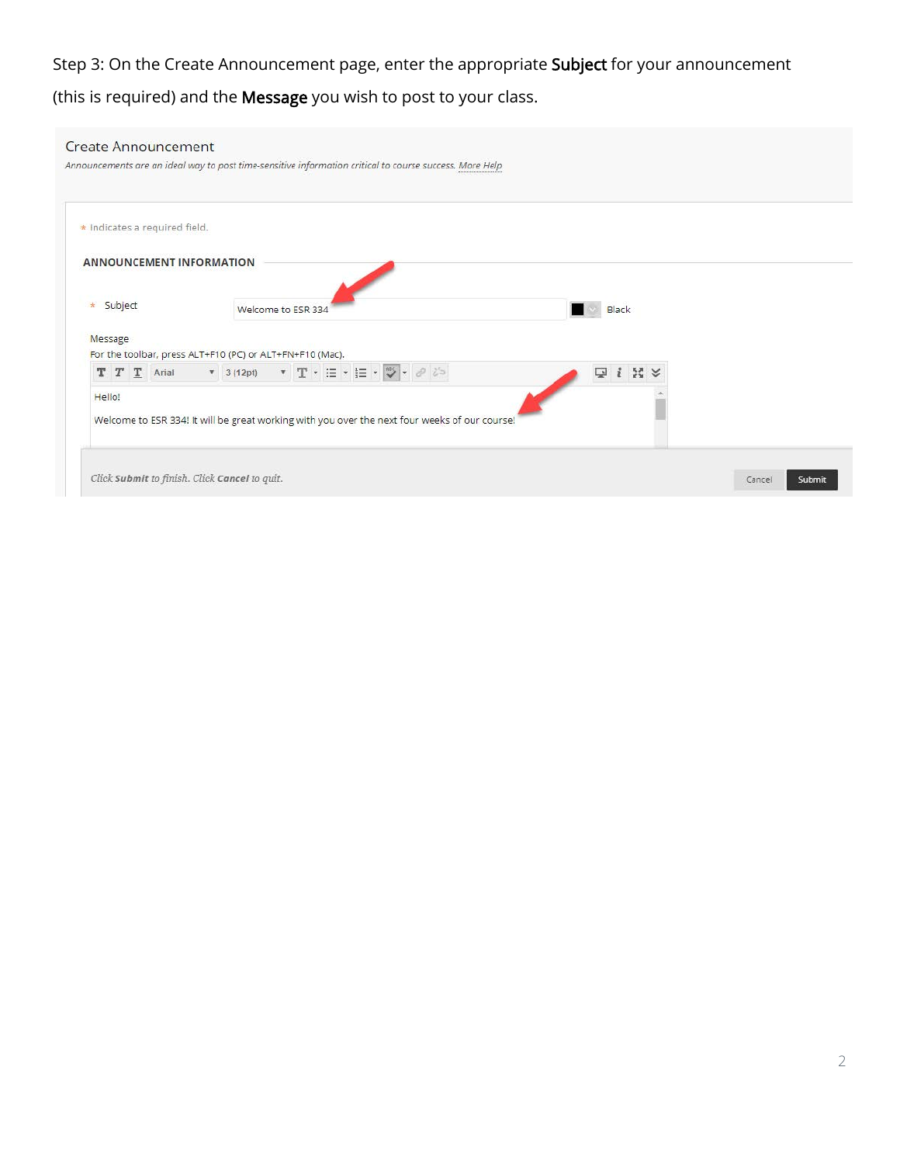## Step 3: On the Create Announcement page, enter the appropriate Subject for your announcement (this is required) and the Message you wish to post to your class.

| <b>Create Announcement</b>                    | Announcements are an ideal way to post time-sensitive information critical to course success. More Help |                            |                  |
|-----------------------------------------------|---------------------------------------------------------------------------------------------------------|----------------------------|------------------|
| * Indicates a required field.                 |                                                                                                         |                            |                  |
| <b>ANNOUNCEMENT INFORMATION</b>               |                                                                                                         |                            |                  |
| * Subject                                     | Welcome to ESR 334                                                                                      | Black                      |                  |
| Message                                       | For the toolbar, press ALT+F10 (PC) or ALT+FN+F10 (Mac).                                                |                            |                  |
|                                               |                                                                                                         | $i \mathbb{N}$ $\vee$<br>ç |                  |
| Hello!                                        | Welcome to ESR 334! It will be great working with you over the next four weeks of our course!           |                            |                  |
| Click Submit to finish. Click Cancel to quit. |                                                                                                         |                            | Cancel<br>Submit |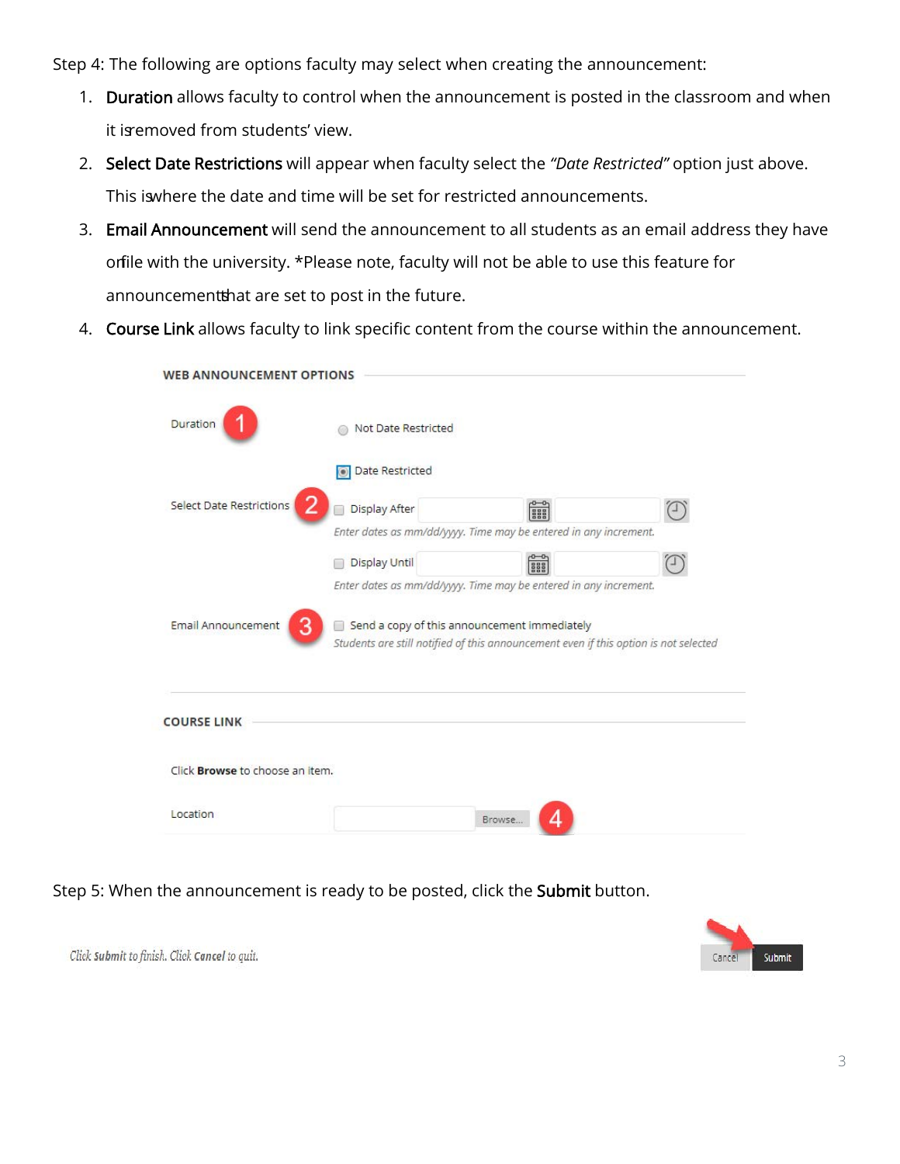Step 4: The following are options faculty may select when creating the announcement:

- 1. Duration allows faculty to control when the announcement is posted in the classroom and when it is emoved from students' view.
- 2. Select Date Restrictions will appear when faculty select the *"Date Restricted"* option just above. This is where the date and time will be set for restricted announcements.
- 3. Email Announcement will send the announcement to all students as an email address they have orfile with the university. \*Please note, faculty will not be able to use this feature for announcementthat are set to post in the future.
- 4. Course Link allows faculty to link specific content from the course within the announcement.

| <b>WEB ANNOUNCEMENT OPTIONS</b>        |                                                                                                                                      |                  |   |
|----------------------------------------|--------------------------------------------------------------------------------------------------------------------------------------|------------------|---|
| Duration                               | Not Date Restricted                                                                                                                  |                  |   |
|                                        | Date Restricted                                                                                                                      |                  |   |
| <b>Select Date Restrictions</b>        | Display After                                                                                                                        | ess <sub>o</sub> |   |
|                                        | Enter dates as mm/dd/yyyy. Time may be entered in any increment.                                                                     |                  |   |
|                                        | <b>Display Until</b>                                                                                                                 | ese<br>See       | щ |
|                                        | Enter dates as mm/dd/yyyy. Time may be entered in any increment.                                                                     |                  |   |
| Email Announcement<br>3                | Send a copy of this announcement immediately<br>Students are still notified of this announcement even if this option is not selected |                  |   |
| <b>COURSE LINK</b>                     |                                                                                                                                      |                  |   |
| Click <b>Browse</b> to choose an item. |                                                                                                                                      |                  |   |
| Location                               |                                                                                                                                      | Browse.          |   |

Step 5: When the announcement is ready to be posted, click the Submit button.



Click Submit to finish. Click Cancel to quit.